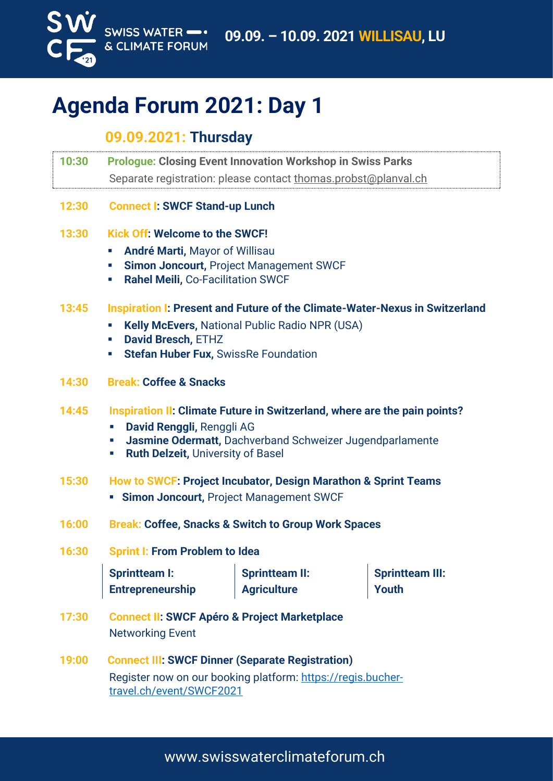

# **Agenda Forum 2021: Day 1**

## **09.09.2021: Thursday**

- **10:30 Prologue: Closing Event Innovation Workshop in Swiss Parks** Separate registration: please contact [thomas.probst@planval.ch](mailto:thomas.probst@planval.ch)
- **12:30 Connect I: SWCF Stand-up Lunch**

### **13:30 Kick Off: Welcome to the SWCF!**

- **E** André Marti, Mayor of Willisau
- **EXECT:** Simon Joncourt, Project Management SWCF
- **Rahel Meili,** Co-Facilitation SWCF

### **13:45 Inspiration I: Present and Future of the Climate-Water-Nexus in Switzerland**

- **Kelly McEvers, National Public Radio NPR (USA)**
- **David Bresch,** ETHZ
- **Stefan Huber Fux, SwissRe Foundation**
- **14:30 Break: Coffee & Snacks**

#### **14:45 Inspiration II: Climate Future in Switzerland, where are the pain points?**

- **David Renggli,** Renggli AG
- **Jasmine Odermatt, Dachverband Schweizer Jugendparlamente**
- **Ruth Delzeit, University of Basel**

## **15:30 How to SWCF: Project Incubator, Design Marathon & Sprint Teams**

- **Example 2 Simon Joncourt, Project Management SWCF**
- **16:00 Break: Coffee, Snacks & Switch to Group Work Spaces**

## **16:30 Sprint I: From Problem to Idea**

| <b>Sprintteam I:</b>    | <b>Sprintteam II:</b> | Sprintteam III: |
|-------------------------|-----------------------|-----------------|
| <b>Entrepreneurship</b> | <b>Agriculture</b>    | <b>Youth</b>    |

- **17:30 Connect II: SWCF Apéro & Project Marketplace** Networking Event
- **19:00 Connect III: SWCF Dinner (Separate Registration)** Register now on our booking platform: [https://regis.bucher](https://regis.buchertravel.ch/event/SWCF2021)[travel.ch/event/SWCF2021](https://regis.buchertravel.ch/event/SWCF2021)